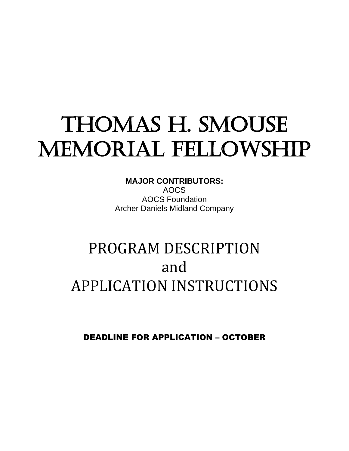# THOMAS H. SMOUSE MEMORIAL FELLOWSHIP

**MAJOR CONTRIBUTORS:** AOCS AOCS Foundation Archer Daniels Midland Company

## PROGRAM DESCRIPTION and APPLICATION INSTRUCTIONS

DEADLINE FOR APPLICATION – OCTOBER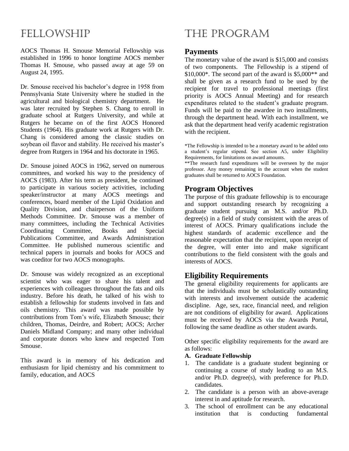### FELLOWSHIP

AOCS Thomas H. Smouse Memorial Fellowship was established in 1996 to honor longtime AOCS member Thomas H. Smouse, who passed away at age 59 on August 24, 1995.

Dr. Smouse received his bachelor's degree in 1958 from Pennsylvania State University where he studied in the agricultural and biological chemistry department. He was later recruited by Stephen S. Chang to enroll in graduate school at Rutgers University, and while at Rutgers he became on of the first AOCS Honored Students (1964). His graduate work at Rutgers with Dr. Chang is considered among the classic studies on soybean oil flavor and stability. He received his master's degree from Rutgers in 1964 and his doctorate in 1965.

Dr. Smouse joined AOCS in 1962, served on numerous committees, and worked his way to the presidency of AOCS (1983). After his term as president, he continued to participate in various society activities, including speaker/instructor at many AOCS meetings and conferences, board member of the Lipid Oxidation and Quality Division, and chairperson of the Uniform Methods Committee. Dr. Smouse was a member of many committees, including the Technical Activities Coordinating Committee, Books and Special Publications Committee, and Awards Administration Committee. He published numerous scientific and technical papers in journals and books for AOCS and was coeditor for two AOCS monographs.

Dr. Smouse was widely recognized as an exceptional scientist who was eager to share his talent and experiences with colleagues throughout the fats and oils industry. Before his death, he talked of his wish to establish a fellowship for students involved in fats and oils chemistry. This award was made possible by contributions from Tom's wife, Elizabeth Smouse; their children, Thomas, Deirdre, and Robert; AOCS; Archer Daniels Midland Company; and many other individual and corporate donors who knew and respected Tom Smouse.

This award is in memory of his dedication and enthusiasm for lipid chemistry and his commitment to family, education, and AOCS

## THE PROGRAM

#### **Payments**

The monetary value of the award is \$15,000 and consists of two components. The Fellowship is a stipend of  $$10,000^*$ . The second part of the award is  $$5,000^{**}$  and shall be given as a research fund to be used by the recipient for travel to professional meetings (first priority is AOCS Annual Meeting) and for research expenditures related to the student's graduate program. Funds will be paid to the awardee in two installments, through the department head. With each installment, we ask that the department head verify academic registration with the recipient.

\*The Fellowship is intended to be a monetary award to be added onto a student's regular stipend. See section A5, under Eligibility Requirements, for limitations on award amounts.

\*\*The research fund expenditures will be overseen by the major professor. Any money remaining in the account when the student graduates shall be returned to AOCS Foundation.

#### **Program Objectives**

The purpose of this graduate fellowship is to encourage and support outstanding research by recognizing a graduate student pursuing an M.S. and/or Ph.D. degree(s) in a field of study consistent with the areas of interest of AOCS. Primary qualifications include the highest standards of academic excellence and the reasonable expectation that the recipient, upon receipt of the degree, will enter into and make significant contributions to the field consistent with the goals and interests of AOCS.

#### **Eligibility Requirements**

The general eligibility requirements for applicants are that the individuals must be scholastically outstanding with interests and involvement outside the academic discipline. Age, sex, race, financial need, and religion are not conditions of eligibility for award. Applications must be received by AOCS via the Awards Portal, following the same deadline as other student awards.

Other specific eligibility requirements for the award are as follows:

#### **A. Graduate Fellowship**

- 1. The candidate is a graduate student beginning or continuing a course of study leading to an M.S. and/or Ph.D. degree(s), with preference for Ph.D. candidates.
- 2. The candidate is a person with an above-average interest in and aptitude for research.
- 3. The school of enrollment can be any educational institution that is conducting fundamental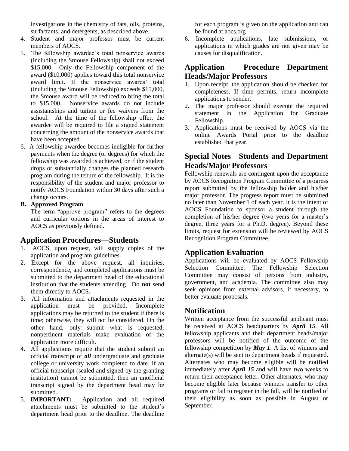investigations in the chemistry of fats, oils, proteins, surfactants, and detergents, as described above.

- 4. Student and major professor must be current members of AOCS.
- 5. The fellowship awardee's total nonservice awards (including the Smouse Fellowship) shall not exceed \$15,000. Only the Fellowship component of the award (\$10,000) applies toward this total nonservice award limit. If the nonservice awards' total (including the Smouse Fellowship) exceeds \$15,000, the Smouse award will be reduced to bring the total to \$15,000. Nonservice awards do not include assistantships and tuition or fee waivers from the school. At the time of the fellowship offer, the awardee will be required to file a signed statement concerning the amount of the nonservice awards that have been accepted.
- 6. A fellowship awardee becomes ineligible for further payments when the degree (or degrees) for which the fellowship was awarded is achieved, or if the student drops or substantially changes the planned research program during the tenure of the fellowship. It is the responsibility of the student and major professor to notify AOCS Foundation within 30 days after such a change occurs.

#### **B. Approved Program**

The term "approve program" refers to the degrees and curricular options in the areas of interest to AOCS as previously defined.

#### **Application Procedures—Students**

- 1. AOCS, upon request, will supply copies of the application and program guidelines.
- 2. Except for the above request, all inquiries, correspondence, and completed applications must be submitted to the department head of the educational institution that the students attending. Do **not** send them directly to AOCS.
- 3. All information and attachments requested in the application must be provided. Incomplete applications may be returned to the student if there is time; otherwise, they will not be considered. On the other hand, only submit what is requested; nonpertinent materials make evaluation of the application more difficult.
- 4. All applications require that the student submit an official transcript of *all* undergraduate and graduate college or university work completed to date. If an official transcript (sealed and signed by the granting institution) cannot be submitted, then an unofficial transcript signed by the department head may be submitted.
- 5. **IMPORTANT:** Application and all required attachments must be submitted to the student's department head prior to the deadline. The deadline

for each program is given on the application and can be found at aocs.org

6. Incomplete applications, late submissions, or applications in which grades are not given may be causes for disqualification.

#### **Application Procedure—Department Heads/Major Professors**

- 1. Upon receipt, the application should be checked for completeness. If time permits, return incomplete applications to sender.
- 2. The major professor should execute the required statement in the Application for Graduate Fellowship.
- 3. Applications must be received by AOCS via the online Awards Portal prior to the deadline established that year.

#### **Special Notes—Students and Department Heads/Major Professors**

Fellowship renewals are contingent upon the acceptance by AOCS Recognition Program Committee of a progress report submitted by the fellowship holder and his/her major professor. The progress report must be submitted no later than November 1 of each year. It is the intent of AOCS Foundation to sponsor a student through the completion of his/her degree (two years for a master's degree, three years for a Ph.D. degree). Beyond these limits, request for extension will be reviewed by AOCS Recognition Program Committee.

#### **Application Evaluation**

Applications will be evaluated by AOCS Fellowship Selection Committee. The Fellowship Selection Committee may consist of persons from industry, government, and academia. The committee also may seek opinions from external advisors, if necessary, to better evaluate proposals.

#### **Notification**

Written acceptance from the successful applicant must be received at AOCS headquarters by *April 15*. All fellowship applicants and their department heads/major professors will be notified of the outcome of the fellowship competition by *May 1*. A list of winners and alternate(s) will be sent to department heads if requested. Alternates who may become eligible will be notified immediately after *April 15* and will have two weeks to return their acceptance letter. Other alternates, who may become eligible later because winners transfer to other programs or fail to register in the fall, will be notified of their eligibility as soon as possible in August or September.